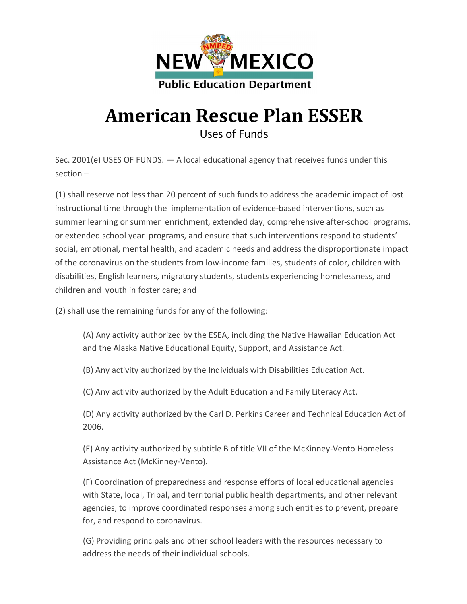

## American Rescue Plan ESSER Uses of Funds

Sec. 2001(e) USES OF FUNDS. — A local educational agency that receives funds under this section –

(1) shall reserve not less than 20 percent of such funds to address the academic impact of lost instructional time through the implementation of evidence-based interventions, such as summer learning or summer enrichment, extended day, comprehensive after-school programs, or extended school year programs, and ensure that such interventions respond to students' social, emotional, mental health, and academic needs and address the disproportionate impact of the coronavirus on the students from low-income families, students of color, children with disabilities, English learners, migratory students, students experiencing homelessness, and children and youth in foster care; and

(2) shall use the remaining funds for any of the following:

(A) Any activity authorized by the ESEA, including the Native Hawaiian Education Act and the Alaska Native Educational Equity, Support, and Assistance Act.

- (B) Any activity authorized by the Individuals with Disabilities Education Act.
- (C) Any activity authorized by the Adult Education and Family Literacy Act.

(D) Any activity authorized by the Carl D. Perkins Career and Technical Education Act of 2006.

(E) Any activity authorized by subtitle B of title VII of the McKinney-Vento Homeless Assistance Act (McKinney-Vento).

(F) Coordination of preparedness and response efforts of local educational agencies with State, local, Tribal, and territorial public health departments, and other relevant agencies, to improve coordinated responses among such entities to prevent, prepare for, and respond to coronavirus.

(G) Providing principals and other school leaders with the resources necessary to address the needs of their individual schools.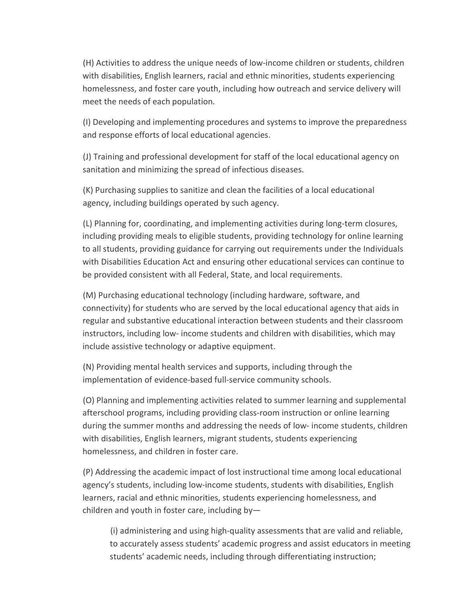(H) Activities to address the unique needs of low-income children or students, children with disabilities, English learners, racial and ethnic minorities, students experiencing homelessness, and foster care youth, including how outreach and service delivery will meet the needs of each population.

(I) Developing and implementing procedures and systems to improve the preparedness and response efforts of local educational agencies.

(J) Training and professional development for staff of the local educational agency on sanitation and minimizing the spread of infectious diseases.

(K) Purchasing supplies to sanitize and clean the facilities of a local educational agency, including buildings operated by such agency.

(L) Planning for, coordinating, and implementing activities during long-term closures, including providing meals to eligible students, providing technology for online learning to all students, providing guidance for carrying out requirements under the Individuals with Disabilities Education Act and ensuring other educational services can continue to be provided consistent with all Federal, State, and local requirements.

(M) Purchasing educational technology (including hardware, software, and connectivity) for students who are served by the local educational agency that aids in regular and substantive educational interaction between students and their classroom instructors, including low- income students and children with disabilities, which may include assistive technology or adaptive equipment.

(N) Providing mental health services and supports, including through the implementation of evidence-based full-service community schools.

(O) Planning and implementing activities related to summer learning and supplemental afterschool programs, including providing class-room instruction or online learning during the summer months and addressing the needs of low- income students, children with disabilities, English learners, migrant students, students experiencing homelessness, and children in foster care.

(P) Addressing the academic impact of lost instructional time among local educational agency's students, including low-income students, students with disabilities, English learners, racial and ethnic minorities, students experiencing homelessness, and children and youth in foster care, including by—

(i) administering and using high-quality assessments that are valid and reliable, to accurately assess students' academic progress and assist educators in meeting students' academic needs, including through differentiating instruction;